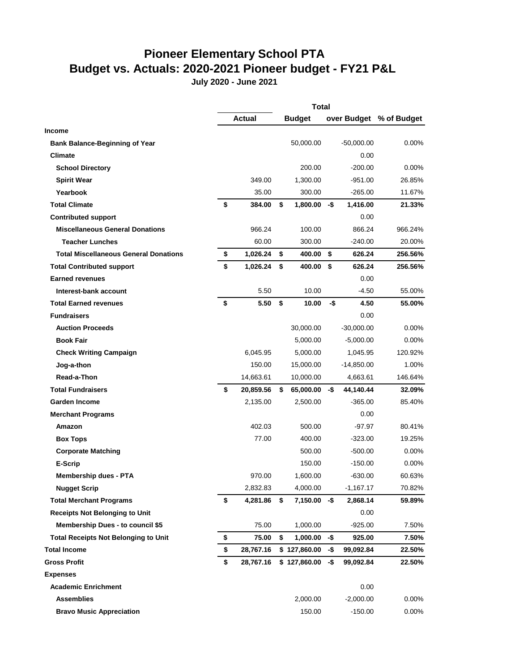## **Pioneer Elementary School PTA Budget vs. Actuals: 2020-2021 Pioneer budget - FY21 P&L**

**July 2020 - June 2021**

|                                              |                 | <b>Total</b>         |     |              |                         |
|----------------------------------------------|-----------------|----------------------|-----|--------------|-------------------------|
|                                              | <b>Actual</b>   | <b>Budget</b>        |     |              | over Budget % of Budget |
| <b>Income</b>                                |                 |                      |     |              |                         |
| <b>Bank Balance-Beginning of Year</b>        |                 | 50,000.00            |     | $-50,000.00$ | 0.00%                   |
| <b>Climate</b>                               |                 |                      |     | 0.00         |                         |
| <b>School Directory</b>                      |                 | 200.00               |     | $-200.00$    | 0.00%                   |
| <b>Spirit Wear</b>                           | 349.00          | 1,300.00             |     | $-951.00$    | 26.85%                  |
| Yearbook                                     | 35.00           | 300.00               |     | $-265.00$    | 11.67%                  |
| <b>Total Climate</b>                         | \$<br>384.00    | \$<br>$1.800.00 - $$ |     | 1,416.00     | 21.33%                  |
| <b>Contributed support</b>                   |                 |                      |     | 0.00         |                         |
| <b>Miscellaneous General Donations</b>       | 966.24          | 100.00               |     | 866.24       | 966.24%                 |
| <b>Teacher Lunches</b>                       | 60.00           | 300.00               |     | $-240.00$    | 20.00%                  |
| <b>Total Miscellaneous General Donations</b> | \$<br>1,026.24  | \$<br>400.00 \$      |     | 626.24       | 256.56%                 |
| <b>Total Contributed support</b>             | \$<br>1,026.24  | \$<br>400.00         | \$  | 626.24       | 256.56%                 |
| <b>Earned revenues</b>                       |                 |                      |     | 0.00         |                         |
| Interest-bank account                        | 5.50            | 10.00                |     | $-4.50$      | 55.00%                  |
| <b>Total Earned revenues</b>                 | \$<br>5.50      | \$<br>10.00          | -\$ | 4.50         | 55.00%                  |
| <b>Fundraisers</b>                           |                 |                      |     | 0.00         |                         |
| <b>Auction Proceeds</b>                      |                 | 30,000.00            |     | $-30,000.00$ | 0.00%                   |
| <b>Book Fair</b>                             |                 | 5,000.00             |     | $-5,000.00$  | 0.00%                   |
| <b>Check Writing Campaign</b>                | 6,045.95        | 5,000.00             |     | 1,045.95     | 120.92%                 |
| Jog-a-thon                                   | 150.00          | 15,000.00            |     | $-14,850.00$ | 1.00%                   |
| Read-a-Thon                                  | 14,663.61       | 10,000.00            |     | 4,663.61     | 146.64%                 |
| <b>Total Fundraisers</b>                     | \$<br>20,859.56 | \$<br>65,000.00      | -\$ | 44,140.44    | 32.09%                  |
| <b>Garden Income</b>                         | 2,135.00        | 2,500.00             |     | $-365.00$    | 85.40%                  |
| <b>Merchant Programs</b>                     |                 |                      |     | 0.00         |                         |
| Amazon                                       | 402.03          | 500.00               |     | $-97.97$     | 80.41%                  |
| <b>Box Tops</b>                              | 77.00           | 400.00               |     | $-323.00$    | 19.25%                  |
| <b>Corporate Matching</b>                    |                 | 500.00               |     | $-500.00$    | 0.00%                   |
| E-Scrip                                      |                 | 150.00               |     | $-150.00$    | $0.00\%$                |
| <b>Membership dues - PTA</b>                 | 970.00          | 1,600.00             |     | $-630.00$    | 60.63%                  |
| <b>Nugget Scrip</b>                          | 2,832.83        | 4,000.00             |     | $-1,167.17$  | 70.82%                  |
| <b>Total Merchant Programs</b>               | \$<br>4,281.86  | \$<br>$7,150.00 - $$ |     | 2,868.14     | 59.89%                  |
| <b>Receipts Not Belonging to Unit</b>        |                 |                      |     | 0.00         |                         |
| <b>Membership Dues - to council \$5</b>      | 75.00           | 1,000.00             |     | $-925.00$    | 7.50%                   |
| <b>Total Receipts Not Belonging to Unit</b>  | \$<br>75.00     | \$<br>1,000.00       | -\$ | 925.00       | 7.50%                   |
| <b>Total Income</b>                          | \$<br>28,767.16 | \$127,860.00         | -\$ | 99,092.84    | 22.50%                  |
| Gross Profit                                 | \$<br>28,767.16 | \$127,860.00         | -\$ | 99,092.84    | 22.50%                  |
| <b>Expenses</b>                              |                 |                      |     |              |                         |
| <b>Academic Enrichment</b>                   |                 |                      |     | 0.00         |                         |
| <b>Assemblies</b>                            |                 | 2,000.00             |     | $-2,000.00$  | 0.00%                   |
| <b>Bravo Music Appreciation</b>              |                 | 150.00               |     | $-150.00$    | 0.00%                   |
|                                              |                 |                      |     |              |                         |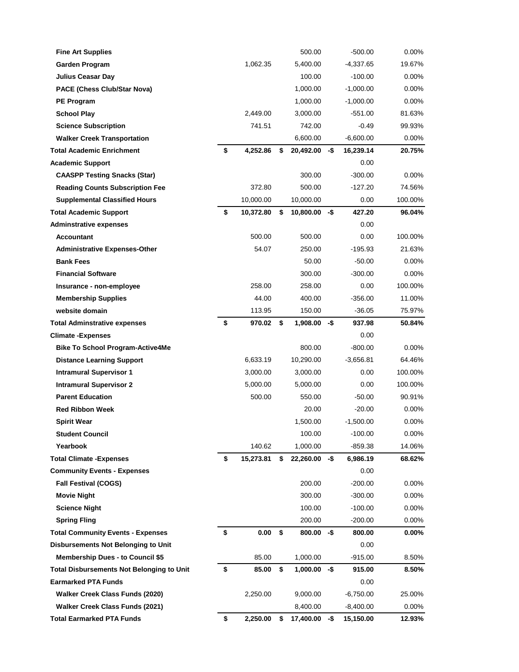| <b>Fine Art Supplies</b>                                                       |                 | 500.00                |     | $-500.00$           | 0.00%    |
|--------------------------------------------------------------------------------|-----------------|-----------------------|-----|---------------------|----------|
| Garden Program                                                                 | 1,062.35        | 5,400.00              |     | $-4,337.65$         | 19.67%   |
| <b>Julius Ceasar Day</b>                                                       |                 | 100.00                |     | $-100.00$           | 0.00%    |
| <b>PACE (Chess Club/Star Nova)</b>                                             |                 | 1,000.00              |     | $-1,000.00$         | $0.00\%$ |
| <b>PE Program</b>                                                              |                 | 1,000.00              |     | $-1,000.00$         | 0.00%    |
| <b>School Play</b>                                                             | 2,449.00        | 3,000.00              |     | $-551.00$           | 81.63%   |
| <b>Science Subscription</b>                                                    | 741.51          | 742.00                |     | -0.49               | 99.93%   |
| <b>Walker Creek Transportation</b>                                             |                 | 6,600.00              |     | $-6,600.00$         | 0.00%    |
| <b>Total Academic Enrichment</b>                                               | \$<br>4,252.86  | \$<br>20,492.00 -\$   |     | 16,239.14           | 20.75%   |
| <b>Academic Support</b>                                                        |                 |                       |     | 0.00                |          |
| <b>CAASPP Testing Snacks (Star)</b>                                            |                 | 300.00                |     | $-300.00$           | 0.00%    |
| <b>Reading Counts Subscription Fee</b>                                         | 372.80          | 500.00                |     | -127.20             | 74.56%   |
| <b>Supplemental Classified Hours</b>                                           | 10,000.00       | 10,000.00             |     | 0.00                | 100.00%  |
| <b>Total Academic Support</b>                                                  | \$<br>10,372.80 | \$<br>$10,800.00 - $$ |     | 427.20              | 96.04%   |
| <b>Adminstrative expenses</b>                                                  |                 |                       |     | $0.00\,$            |          |
| <b>Accountant</b>                                                              | 500.00          | 500.00                |     | 0.00                | 100.00%  |
| <b>Administrative Expenses-Other</b>                                           | 54.07           | 250.00                |     | $-195.93$           | 21.63%   |
| <b>Bank Fees</b>                                                               |                 | 50.00                 |     | -50.00              | 0.00%    |
| <b>Financial Software</b>                                                      |                 | 300.00                |     | $-300.00$           | 0.00%    |
| Insurance - non-employee                                                       | 258.00          | 258.00                |     | 0.00                | 100.00%  |
| <b>Membership Supplies</b>                                                     | 44.00           | 400.00                |     | $-356.00$           | 11.00%   |
| website domain                                                                 | 113.95          | 150.00                |     | $-36.05$            | 75.97%   |
| <b>Total Adminstrative expenses</b>                                            | \$<br>970.02    | \$<br>1,908.00        | -\$ | 937.98              | 50.84%   |
| <b>Climate -Expenses</b>                                                       |                 |                       |     | 0.00                |          |
| <b>Bike To School Program-Active4Me</b>                                        |                 | 800.00                |     | $-800.00$           | 0.00%    |
| <b>Distance Learning Support</b>                                               | 6,633.19        | 10,290.00             |     | $-3,656.81$         | 64.46%   |
| <b>Intramural Supervisor 1</b>                                                 | 3,000.00        | 3,000.00              |     | 0.00                | 100.00%  |
| <b>Intramural Supervisor 2</b>                                                 | 5,000.00        | 5,000.00              |     | 0.00                | 100.00%  |
| <b>Parent Education</b>                                                        | 500.00          | 550.00                |     | $-50.00$            | 90.91%   |
| <b>Red Ribbon Week</b>                                                         |                 | 20.00                 |     | $-20.00$            | $0.00\%$ |
| <b>Spirit Wear</b>                                                             |                 | 1,500.00              |     | $-1,500.00$         | 0.00%    |
| <b>Student Council</b>                                                         |                 | 100.00                |     | $-100.00$           | 0.00%    |
| Yearbook                                                                       | 140.62          | 1,000.00              |     | -859.38             | 14.06%   |
| <b>Total Climate - Expenses</b>                                                | \$<br>15,273.81 | \$<br>$22,260.00 - $$ |     | 6,986.19            | 68.62%   |
| <b>Community Events - Expenses</b>                                             |                 |                       |     | 0.00                |          |
| <b>Fall Festival (COGS)</b>                                                    |                 | 200.00                |     | $-200.00$           | 0.00%    |
| <b>Movie Night</b>                                                             |                 | 300.00                |     | $-300.00$           | 0.00%    |
| <b>Science Night</b>                                                           |                 | 100.00                |     | $-100.00$           | 0.00%    |
| <b>Spring Fling</b>                                                            |                 | 200.00                |     | $-200.00$           | 0.00%    |
| <b>Total Community Events - Expenses</b>                                       | \$<br>0.00      | \$<br>$800.00 - $$    |     | 800.00              | $0.00\%$ |
| <b>Disbursements Not Belonging to Unit</b>                                     |                 |                       |     | 0.00                |          |
| <b>Membership Dues - to Council \$5</b>                                        | 85.00           | \$<br>1,000.00        |     | $-915.00$           | 8.50%    |
| <b>Total Disbursements Not Belonging to Unit</b><br><b>Earmarked PTA Funds</b> | \$<br>85.00     | $1,000.00 - $$        |     | 915.00              | 8.50%    |
| Walker Creek Class Funds (2020)                                                | 2,250.00        | 9,000.00              |     | 0.00<br>$-6,750.00$ | 25.00%   |
| <b>Walker Creek Class Funds (2021)</b>                                         |                 | 8,400.00              |     | $-8,400.00$         | 0.00%    |
| <b>Total Earmarked PTA Funds</b>                                               | \$<br>2,250.00  | \$                    | -\$ |                     | 12.93%   |
|                                                                                |                 | 17,400.00             |     | 15,150.00           |          |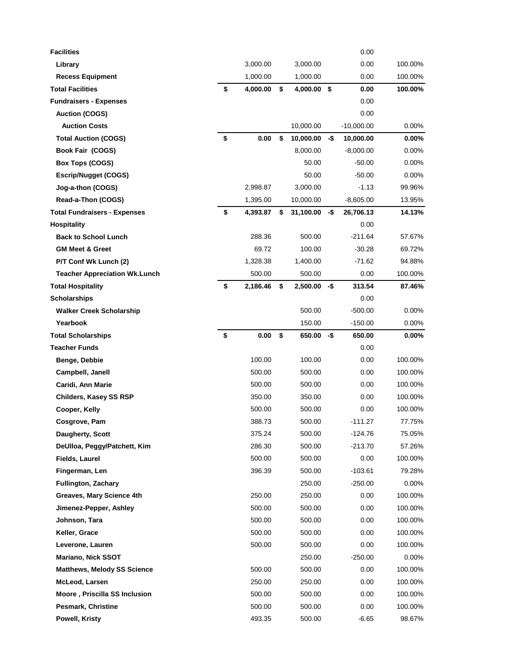| Library<br>3,000.00<br>3,000.00<br>0.00<br>100.00%<br>1,000.00<br>1,000.00<br>100.00%<br><b>Recess Equipment</b><br>0.00<br>\$<br><b>Total Facilities</b><br>\$<br>4,000.00 \$<br>4,000.00<br>0.00<br>100.00%<br><b>Fundraisers - Expenses</b><br>0.00<br><b>Auction (COGS)</b><br>0.00<br>10,000.00<br>$-10,000.00$<br>0.00%<br><b>Auction Costs</b><br>\$<br><b>Total Auction (COGS)</b><br>0.00<br>\$<br>10,000.00<br>10,000.00<br>$0.00\%$<br>-\$<br>Book Fair (COGS)<br>8,000.00<br>$-8,000.00$<br>$0.00\%$<br>50.00<br>0.00%<br><b>Box Tops (COGS)</b><br>$-50.00$<br><b>Escrip/Nugget (COGS)</b><br>50.00<br>$-50.00$<br>0.00%<br>2,998.87<br>$-1.13$<br>99.96%<br>Jog-a-thon (COGS)<br>3,000.00<br>Read-a-Thon (COGS)<br>1,395.00<br>10,000.00<br>$-8,605.00$<br>13.95%<br>\$<br><b>Total Fundraisers - Expenses</b><br>\$<br>-\$<br>14.13%<br>4,393.87<br>31,100.00<br>26,706.13<br><b>Hospitality</b><br>0.00<br><b>Back to School Lunch</b><br>$-211.64$<br>288.36<br>500.00<br>57.67%<br><b>GM Meet &amp; Greet</b><br>69.72<br>100.00<br>$-30.28$<br>69.72%<br>1,328.38<br>$-71.62$<br>P/T Conf Wk Lunch (2)<br>1,400.00<br>94.88%<br>500.00<br>500.00<br>100.00%<br><b>Teacher Appreciation Wk.Lunch</b><br>0.00<br>\$<br>313.54<br>\$<br>2,500.00<br>-\$<br><b>Total Hospitality</b><br>2,186.46<br>87.46%<br><b>Scholarships</b><br>0.00<br>500.00<br>$-500.00$<br><b>Walker Creek Scholarship</b><br>$0.00\%$<br>Yearbook<br>150.00<br>$-150.00$<br>0.00%<br>\$<br>0.00<br>\$<br><b>Total Scholarships</b><br>$650.00 - $$<br>650.00<br>$0.00\%$<br><b>Teacher Funds</b><br>0.00<br>100.00<br>100.00<br>Benge, Debbie<br>0.00<br>100.00%<br>Campbell, Janell<br>500.00<br>500.00<br>0.00<br>100.00%<br>Caridi, Ann Marie<br>500.00<br>500.00<br>100.00%<br>0.00<br>350.00<br><b>Childers, Kasey SS RSP</b><br>350.00<br>0.00<br>100.00%<br>500.00<br>500.00<br>Cooper, Kelly<br>0.00<br>100.00%<br>388.73<br>500.00<br>$-111.27$<br>77.75%<br>Cosgrove, Pam<br>375.24<br>500.00<br>-124.76<br>75.05%<br>Daugherty, Scott<br>DeUlloa, Peggy/Patchett, Kim<br>286.30<br>500.00<br>$-213.70$<br>57.26%<br><b>Fields, Laurel</b><br>500.00<br>500.00<br>0.00<br>100.00%<br>Fingerman, Len<br>$-103.61$<br>396.39<br>500.00<br>79.28%<br>250.00<br>0.00%<br><b>Fullington, Zachary</b><br>$-250.00$<br>Greaves, Mary Science 4th<br>250.00<br>250.00<br>0.00<br>100.00%<br>Jimenez-Pepper, Ashley<br>500.00<br>500.00<br>0.00<br>100.00%<br>Johnson, Tara<br>500.00<br>500.00<br>0.00<br>100.00%<br>Keller, Grace<br>500.00<br>500.00<br>0.00<br>100.00%<br>Leverone, Lauren<br>500.00<br>500.00<br>0.00<br>100.00%<br><b>Mariano, Nick SSOT</b><br>250.00<br>$-250.00$<br>$0.00\%$<br>500.00<br>500.00<br><b>Matthews, Melody SS Science</b><br>0.00<br>100.00%<br>McLeod, Larsen<br>250.00<br>250.00<br>0.00<br>100.00%<br>Moore, Priscilla SS Inclusion<br>500.00<br>500.00<br>0.00<br>100.00%<br>Pesmark, Christine<br>500.00<br>500.00<br>0.00<br>100.00%<br>Powell, Kristy<br>493.35<br>500.00<br>$-6.65$<br>98.67% | <b>Facilities</b> |  |  | 0.00 |  |
|---------------------------------------------------------------------------------------------------------------------------------------------------------------------------------------------------------------------------------------------------------------------------------------------------------------------------------------------------------------------------------------------------------------------------------------------------------------------------------------------------------------------------------------------------------------------------------------------------------------------------------------------------------------------------------------------------------------------------------------------------------------------------------------------------------------------------------------------------------------------------------------------------------------------------------------------------------------------------------------------------------------------------------------------------------------------------------------------------------------------------------------------------------------------------------------------------------------------------------------------------------------------------------------------------------------------------------------------------------------------------------------------------------------------------------------------------------------------------------------------------------------------------------------------------------------------------------------------------------------------------------------------------------------------------------------------------------------------------------------------------------------------------------------------------------------------------------------------------------------------------------------------------------------------------------------------------------------------------------------------------------------------------------------------------------------------------------------------------------------------------------------------------------------------------------------------------------------------------------------------------------------------------------------------------------------------------------------------------------------------------------------------------------------------------------------------------------------------------------------------------------------------------------------------------------------------------------------------------------------------------------------------------------------------------------------------------------------------------------------------------------------------------------------------------------------------------------------------------------------------------------------------------------------------------------------------------------------------------------------------------------------------------------------|-------------------|--|--|------|--|
|                                                                                                                                                                                                                                                                                                                                                                                                                                                                                                                                                                                                                                                                                                                                                                                                                                                                                                                                                                                                                                                                                                                                                                                                                                                                                                                                                                                                                                                                                                                                                                                                                                                                                                                                                                                                                                                                                                                                                                                                                                                                                                                                                                                                                                                                                                                                                                                                                                                                                                                                                                                                                                                                                                                                                                                                                                                                                                                                                                                                                                       |                   |  |  |      |  |
|                                                                                                                                                                                                                                                                                                                                                                                                                                                                                                                                                                                                                                                                                                                                                                                                                                                                                                                                                                                                                                                                                                                                                                                                                                                                                                                                                                                                                                                                                                                                                                                                                                                                                                                                                                                                                                                                                                                                                                                                                                                                                                                                                                                                                                                                                                                                                                                                                                                                                                                                                                                                                                                                                                                                                                                                                                                                                                                                                                                                                                       |                   |  |  |      |  |
|                                                                                                                                                                                                                                                                                                                                                                                                                                                                                                                                                                                                                                                                                                                                                                                                                                                                                                                                                                                                                                                                                                                                                                                                                                                                                                                                                                                                                                                                                                                                                                                                                                                                                                                                                                                                                                                                                                                                                                                                                                                                                                                                                                                                                                                                                                                                                                                                                                                                                                                                                                                                                                                                                                                                                                                                                                                                                                                                                                                                                                       |                   |  |  |      |  |
|                                                                                                                                                                                                                                                                                                                                                                                                                                                                                                                                                                                                                                                                                                                                                                                                                                                                                                                                                                                                                                                                                                                                                                                                                                                                                                                                                                                                                                                                                                                                                                                                                                                                                                                                                                                                                                                                                                                                                                                                                                                                                                                                                                                                                                                                                                                                                                                                                                                                                                                                                                                                                                                                                                                                                                                                                                                                                                                                                                                                                                       |                   |  |  |      |  |
|                                                                                                                                                                                                                                                                                                                                                                                                                                                                                                                                                                                                                                                                                                                                                                                                                                                                                                                                                                                                                                                                                                                                                                                                                                                                                                                                                                                                                                                                                                                                                                                                                                                                                                                                                                                                                                                                                                                                                                                                                                                                                                                                                                                                                                                                                                                                                                                                                                                                                                                                                                                                                                                                                                                                                                                                                                                                                                                                                                                                                                       |                   |  |  |      |  |
|                                                                                                                                                                                                                                                                                                                                                                                                                                                                                                                                                                                                                                                                                                                                                                                                                                                                                                                                                                                                                                                                                                                                                                                                                                                                                                                                                                                                                                                                                                                                                                                                                                                                                                                                                                                                                                                                                                                                                                                                                                                                                                                                                                                                                                                                                                                                                                                                                                                                                                                                                                                                                                                                                                                                                                                                                                                                                                                                                                                                                                       |                   |  |  |      |  |
|                                                                                                                                                                                                                                                                                                                                                                                                                                                                                                                                                                                                                                                                                                                                                                                                                                                                                                                                                                                                                                                                                                                                                                                                                                                                                                                                                                                                                                                                                                                                                                                                                                                                                                                                                                                                                                                                                                                                                                                                                                                                                                                                                                                                                                                                                                                                                                                                                                                                                                                                                                                                                                                                                                                                                                                                                                                                                                                                                                                                                                       |                   |  |  |      |  |
|                                                                                                                                                                                                                                                                                                                                                                                                                                                                                                                                                                                                                                                                                                                                                                                                                                                                                                                                                                                                                                                                                                                                                                                                                                                                                                                                                                                                                                                                                                                                                                                                                                                                                                                                                                                                                                                                                                                                                                                                                                                                                                                                                                                                                                                                                                                                                                                                                                                                                                                                                                                                                                                                                                                                                                                                                                                                                                                                                                                                                                       |                   |  |  |      |  |
|                                                                                                                                                                                                                                                                                                                                                                                                                                                                                                                                                                                                                                                                                                                                                                                                                                                                                                                                                                                                                                                                                                                                                                                                                                                                                                                                                                                                                                                                                                                                                                                                                                                                                                                                                                                                                                                                                                                                                                                                                                                                                                                                                                                                                                                                                                                                                                                                                                                                                                                                                                                                                                                                                                                                                                                                                                                                                                                                                                                                                                       |                   |  |  |      |  |
|                                                                                                                                                                                                                                                                                                                                                                                                                                                                                                                                                                                                                                                                                                                                                                                                                                                                                                                                                                                                                                                                                                                                                                                                                                                                                                                                                                                                                                                                                                                                                                                                                                                                                                                                                                                                                                                                                                                                                                                                                                                                                                                                                                                                                                                                                                                                                                                                                                                                                                                                                                                                                                                                                                                                                                                                                                                                                                                                                                                                                                       |                   |  |  |      |  |
|                                                                                                                                                                                                                                                                                                                                                                                                                                                                                                                                                                                                                                                                                                                                                                                                                                                                                                                                                                                                                                                                                                                                                                                                                                                                                                                                                                                                                                                                                                                                                                                                                                                                                                                                                                                                                                                                                                                                                                                                                                                                                                                                                                                                                                                                                                                                                                                                                                                                                                                                                                                                                                                                                                                                                                                                                                                                                                                                                                                                                                       |                   |  |  |      |  |
|                                                                                                                                                                                                                                                                                                                                                                                                                                                                                                                                                                                                                                                                                                                                                                                                                                                                                                                                                                                                                                                                                                                                                                                                                                                                                                                                                                                                                                                                                                                                                                                                                                                                                                                                                                                                                                                                                                                                                                                                                                                                                                                                                                                                                                                                                                                                                                                                                                                                                                                                                                                                                                                                                                                                                                                                                                                                                                                                                                                                                                       |                   |  |  |      |  |
|                                                                                                                                                                                                                                                                                                                                                                                                                                                                                                                                                                                                                                                                                                                                                                                                                                                                                                                                                                                                                                                                                                                                                                                                                                                                                                                                                                                                                                                                                                                                                                                                                                                                                                                                                                                                                                                                                                                                                                                                                                                                                                                                                                                                                                                                                                                                                                                                                                                                                                                                                                                                                                                                                                                                                                                                                                                                                                                                                                                                                                       |                   |  |  |      |  |
|                                                                                                                                                                                                                                                                                                                                                                                                                                                                                                                                                                                                                                                                                                                                                                                                                                                                                                                                                                                                                                                                                                                                                                                                                                                                                                                                                                                                                                                                                                                                                                                                                                                                                                                                                                                                                                                                                                                                                                                                                                                                                                                                                                                                                                                                                                                                                                                                                                                                                                                                                                                                                                                                                                                                                                                                                                                                                                                                                                                                                                       |                   |  |  |      |  |
|                                                                                                                                                                                                                                                                                                                                                                                                                                                                                                                                                                                                                                                                                                                                                                                                                                                                                                                                                                                                                                                                                                                                                                                                                                                                                                                                                                                                                                                                                                                                                                                                                                                                                                                                                                                                                                                                                                                                                                                                                                                                                                                                                                                                                                                                                                                                                                                                                                                                                                                                                                                                                                                                                                                                                                                                                                                                                                                                                                                                                                       |                   |  |  |      |  |
|                                                                                                                                                                                                                                                                                                                                                                                                                                                                                                                                                                                                                                                                                                                                                                                                                                                                                                                                                                                                                                                                                                                                                                                                                                                                                                                                                                                                                                                                                                                                                                                                                                                                                                                                                                                                                                                                                                                                                                                                                                                                                                                                                                                                                                                                                                                                                                                                                                                                                                                                                                                                                                                                                                                                                                                                                                                                                                                                                                                                                                       |                   |  |  |      |  |
|                                                                                                                                                                                                                                                                                                                                                                                                                                                                                                                                                                                                                                                                                                                                                                                                                                                                                                                                                                                                                                                                                                                                                                                                                                                                                                                                                                                                                                                                                                                                                                                                                                                                                                                                                                                                                                                                                                                                                                                                                                                                                                                                                                                                                                                                                                                                                                                                                                                                                                                                                                                                                                                                                                                                                                                                                                                                                                                                                                                                                                       |                   |  |  |      |  |
|                                                                                                                                                                                                                                                                                                                                                                                                                                                                                                                                                                                                                                                                                                                                                                                                                                                                                                                                                                                                                                                                                                                                                                                                                                                                                                                                                                                                                                                                                                                                                                                                                                                                                                                                                                                                                                                                                                                                                                                                                                                                                                                                                                                                                                                                                                                                                                                                                                                                                                                                                                                                                                                                                                                                                                                                                                                                                                                                                                                                                                       |                   |  |  |      |  |
|                                                                                                                                                                                                                                                                                                                                                                                                                                                                                                                                                                                                                                                                                                                                                                                                                                                                                                                                                                                                                                                                                                                                                                                                                                                                                                                                                                                                                                                                                                                                                                                                                                                                                                                                                                                                                                                                                                                                                                                                                                                                                                                                                                                                                                                                                                                                                                                                                                                                                                                                                                                                                                                                                                                                                                                                                                                                                                                                                                                                                                       |                   |  |  |      |  |
|                                                                                                                                                                                                                                                                                                                                                                                                                                                                                                                                                                                                                                                                                                                                                                                                                                                                                                                                                                                                                                                                                                                                                                                                                                                                                                                                                                                                                                                                                                                                                                                                                                                                                                                                                                                                                                                                                                                                                                                                                                                                                                                                                                                                                                                                                                                                                                                                                                                                                                                                                                                                                                                                                                                                                                                                                                                                                                                                                                                                                                       |                   |  |  |      |  |
|                                                                                                                                                                                                                                                                                                                                                                                                                                                                                                                                                                                                                                                                                                                                                                                                                                                                                                                                                                                                                                                                                                                                                                                                                                                                                                                                                                                                                                                                                                                                                                                                                                                                                                                                                                                                                                                                                                                                                                                                                                                                                                                                                                                                                                                                                                                                                                                                                                                                                                                                                                                                                                                                                                                                                                                                                                                                                                                                                                                                                                       |                   |  |  |      |  |
|                                                                                                                                                                                                                                                                                                                                                                                                                                                                                                                                                                                                                                                                                                                                                                                                                                                                                                                                                                                                                                                                                                                                                                                                                                                                                                                                                                                                                                                                                                                                                                                                                                                                                                                                                                                                                                                                                                                                                                                                                                                                                                                                                                                                                                                                                                                                                                                                                                                                                                                                                                                                                                                                                                                                                                                                                                                                                                                                                                                                                                       |                   |  |  |      |  |
|                                                                                                                                                                                                                                                                                                                                                                                                                                                                                                                                                                                                                                                                                                                                                                                                                                                                                                                                                                                                                                                                                                                                                                                                                                                                                                                                                                                                                                                                                                                                                                                                                                                                                                                                                                                                                                                                                                                                                                                                                                                                                                                                                                                                                                                                                                                                                                                                                                                                                                                                                                                                                                                                                                                                                                                                                                                                                                                                                                                                                                       |                   |  |  |      |  |
|                                                                                                                                                                                                                                                                                                                                                                                                                                                                                                                                                                                                                                                                                                                                                                                                                                                                                                                                                                                                                                                                                                                                                                                                                                                                                                                                                                                                                                                                                                                                                                                                                                                                                                                                                                                                                                                                                                                                                                                                                                                                                                                                                                                                                                                                                                                                                                                                                                                                                                                                                                                                                                                                                                                                                                                                                                                                                                                                                                                                                                       |                   |  |  |      |  |
|                                                                                                                                                                                                                                                                                                                                                                                                                                                                                                                                                                                                                                                                                                                                                                                                                                                                                                                                                                                                                                                                                                                                                                                                                                                                                                                                                                                                                                                                                                                                                                                                                                                                                                                                                                                                                                                                                                                                                                                                                                                                                                                                                                                                                                                                                                                                                                                                                                                                                                                                                                                                                                                                                                                                                                                                                                                                                                                                                                                                                                       |                   |  |  |      |  |
|                                                                                                                                                                                                                                                                                                                                                                                                                                                                                                                                                                                                                                                                                                                                                                                                                                                                                                                                                                                                                                                                                                                                                                                                                                                                                                                                                                                                                                                                                                                                                                                                                                                                                                                                                                                                                                                                                                                                                                                                                                                                                                                                                                                                                                                                                                                                                                                                                                                                                                                                                                                                                                                                                                                                                                                                                                                                                                                                                                                                                                       |                   |  |  |      |  |
|                                                                                                                                                                                                                                                                                                                                                                                                                                                                                                                                                                                                                                                                                                                                                                                                                                                                                                                                                                                                                                                                                                                                                                                                                                                                                                                                                                                                                                                                                                                                                                                                                                                                                                                                                                                                                                                                                                                                                                                                                                                                                                                                                                                                                                                                                                                                                                                                                                                                                                                                                                                                                                                                                                                                                                                                                                                                                                                                                                                                                                       |                   |  |  |      |  |
|                                                                                                                                                                                                                                                                                                                                                                                                                                                                                                                                                                                                                                                                                                                                                                                                                                                                                                                                                                                                                                                                                                                                                                                                                                                                                                                                                                                                                                                                                                                                                                                                                                                                                                                                                                                                                                                                                                                                                                                                                                                                                                                                                                                                                                                                                                                                                                                                                                                                                                                                                                                                                                                                                                                                                                                                                                                                                                                                                                                                                                       |                   |  |  |      |  |
|                                                                                                                                                                                                                                                                                                                                                                                                                                                                                                                                                                                                                                                                                                                                                                                                                                                                                                                                                                                                                                                                                                                                                                                                                                                                                                                                                                                                                                                                                                                                                                                                                                                                                                                                                                                                                                                                                                                                                                                                                                                                                                                                                                                                                                                                                                                                                                                                                                                                                                                                                                                                                                                                                                                                                                                                                                                                                                                                                                                                                                       |                   |  |  |      |  |
|                                                                                                                                                                                                                                                                                                                                                                                                                                                                                                                                                                                                                                                                                                                                                                                                                                                                                                                                                                                                                                                                                                                                                                                                                                                                                                                                                                                                                                                                                                                                                                                                                                                                                                                                                                                                                                                                                                                                                                                                                                                                                                                                                                                                                                                                                                                                                                                                                                                                                                                                                                                                                                                                                                                                                                                                                                                                                                                                                                                                                                       |                   |  |  |      |  |
|                                                                                                                                                                                                                                                                                                                                                                                                                                                                                                                                                                                                                                                                                                                                                                                                                                                                                                                                                                                                                                                                                                                                                                                                                                                                                                                                                                                                                                                                                                                                                                                                                                                                                                                                                                                                                                                                                                                                                                                                                                                                                                                                                                                                                                                                                                                                                                                                                                                                                                                                                                                                                                                                                                                                                                                                                                                                                                                                                                                                                                       |                   |  |  |      |  |
|                                                                                                                                                                                                                                                                                                                                                                                                                                                                                                                                                                                                                                                                                                                                                                                                                                                                                                                                                                                                                                                                                                                                                                                                                                                                                                                                                                                                                                                                                                                                                                                                                                                                                                                                                                                                                                                                                                                                                                                                                                                                                                                                                                                                                                                                                                                                                                                                                                                                                                                                                                                                                                                                                                                                                                                                                                                                                                                                                                                                                                       |                   |  |  |      |  |
|                                                                                                                                                                                                                                                                                                                                                                                                                                                                                                                                                                                                                                                                                                                                                                                                                                                                                                                                                                                                                                                                                                                                                                                                                                                                                                                                                                                                                                                                                                                                                                                                                                                                                                                                                                                                                                                                                                                                                                                                                                                                                                                                                                                                                                                                                                                                                                                                                                                                                                                                                                                                                                                                                                                                                                                                                                                                                                                                                                                                                                       |                   |  |  |      |  |
|                                                                                                                                                                                                                                                                                                                                                                                                                                                                                                                                                                                                                                                                                                                                                                                                                                                                                                                                                                                                                                                                                                                                                                                                                                                                                                                                                                                                                                                                                                                                                                                                                                                                                                                                                                                                                                                                                                                                                                                                                                                                                                                                                                                                                                                                                                                                                                                                                                                                                                                                                                                                                                                                                                                                                                                                                                                                                                                                                                                                                                       |                   |  |  |      |  |
|                                                                                                                                                                                                                                                                                                                                                                                                                                                                                                                                                                                                                                                                                                                                                                                                                                                                                                                                                                                                                                                                                                                                                                                                                                                                                                                                                                                                                                                                                                                                                                                                                                                                                                                                                                                                                                                                                                                                                                                                                                                                                                                                                                                                                                                                                                                                                                                                                                                                                                                                                                                                                                                                                                                                                                                                                                                                                                                                                                                                                                       |                   |  |  |      |  |
|                                                                                                                                                                                                                                                                                                                                                                                                                                                                                                                                                                                                                                                                                                                                                                                                                                                                                                                                                                                                                                                                                                                                                                                                                                                                                                                                                                                                                                                                                                                                                                                                                                                                                                                                                                                                                                                                                                                                                                                                                                                                                                                                                                                                                                                                                                                                                                                                                                                                                                                                                                                                                                                                                                                                                                                                                                                                                                                                                                                                                                       |                   |  |  |      |  |
|                                                                                                                                                                                                                                                                                                                                                                                                                                                                                                                                                                                                                                                                                                                                                                                                                                                                                                                                                                                                                                                                                                                                                                                                                                                                                                                                                                                                                                                                                                                                                                                                                                                                                                                                                                                                                                                                                                                                                                                                                                                                                                                                                                                                                                                                                                                                                                                                                                                                                                                                                                                                                                                                                                                                                                                                                                                                                                                                                                                                                                       |                   |  |  |      |  |
|                                                                                                                                                                                                                                                                                                                                                                                                                                                                                                                                                                                                                                                                                                                                                                                                                                                                                                                                                                                                                                                                                                                                                                                                                                                                                                                                                                                                                                                                                                                                                                                                                                                                                                                                                                                                                                                                                                                                                                                                                                                                                                                                                                                                                                                                                                                                                                                                                                                                                                                                                                                                                                                                                                                                                                                                                                                                                                                                                                                                                                       |                   |  |  |      |  |
|                                                                                                                                                                                                                                                                                                                                                                                                                                                                                                                                                                                                                                                                                                                                                                                                                                                                                                                                                                                                                                                                                                                                                                                                                                                                                                                                                                                                                                                                                                                                                                                                                                                                                                                                                                                                                                                                                                                                                                                                                                                                                                                                                                                                                                                                                                                                                                                                                                                                                                                                                                                                                                                                                                                                                                                                                                                                                                                                                                                                                                       |                   |  |  |      |  |
|                                                                                                                                                                                                                                                                                                                                                                                                                                                                                                                                                                                                                                                                                                                                                                                                                                                                                                                                                                                                                                                                                                                                                                                                                                                                                                                                                                                                                                                                                                                                                                                                                                                                                                                                                                                                                                                                                                                                                                                                                                                                                                                                                                                                                                                                                                                                                                                                                                                                                                                                                                                                                                                                                                                                                                                                                                                                                                                                                                                                                                       |                   |  |  |      |  |
|                                                                                                                                                                                                                                                                                                                                                                                                                                                                                                                                                                                                                                                                                                                                                                                                                                                                                                                                                                                                                                                                                                                                                                                                                                                                                                                                                                                                                                                                                                                                                                                                                                                                                                                                                                                                                                                                                                                                                                                                                                                                                                                                                                                                                                                                                                                                                                                                                                                                                                                                                                                                                                                                                                                                                                                                                                                                                                                                                                                                                                       |                   |  |  |      |  |
|                                                                                                                                                                                                                                                                                                                                                                                                                                                                                                                                                                                                                                                                                                                                                                                                                                                                                                                                                                                                                                                                                                                                                                                                                                                                                                                                                                                                                                                                                                                                                                                                                                                                                                                                                                                                                                                                                                                                                                                                                                                                                                                                                                                                                                                                                                                                                                                                                                                                                                                                                                                                                                                                                                                                                                                                                                                                                                                                                                                                                                       |                   |  |  |      |  |
|                                                                                                                                                                                                                                                                                                                                                                                                                                                                                                                                                                                                                                                                                                                                                                                                                                                                                                                                                                                                                                                                                                                                                                                                                                                                                                                                                                                                                                                                                                                                                                                                                                                                                                                                                                                                                                                                                                                                                                                                                                                                                                                                                                                                                                                                                                                                                                                                                                                                                                                                                                                                                                                                                                                                                                                                                                                                                                                                                                                                                                       |                   |  |  |      |  |
|                                                                                                                                                                                                                                                                                                                                                                                                                                                                                                                                                                                                                                                                                                                                                                                                                                                                                                                                                                                                                                                                                                                                                                                                                                                                                                                                                                                                                                                                                                                                                                                                                                                                                                                                                                                                                                                                                                                                                                                                                                                                                                                                                                                                                                                                                                                                                                                                                                                                                                                                                                                                                                                                                                                                                                                                                                                                                                                                                                                                                                       |                   |  |  |      |  |
|                                                                                                                                                                                                                                                                                                                                                                                                                                                                                                                                                                                                                                                                                                                                                                                                                                                                                                                                                                                                                                                                                                                                                                                                                                                                                                                                                                                                                                                                                                                                                                                                                                                                                                                                                                                                                                                                                                                                                                                                                                                                                                                                                                                                                                                                                                                                                                                                                                                                                                                                                                                                                                                                                                                                                                                                                                                                                                                                                                                                                                       |                   |  |  |      |  |